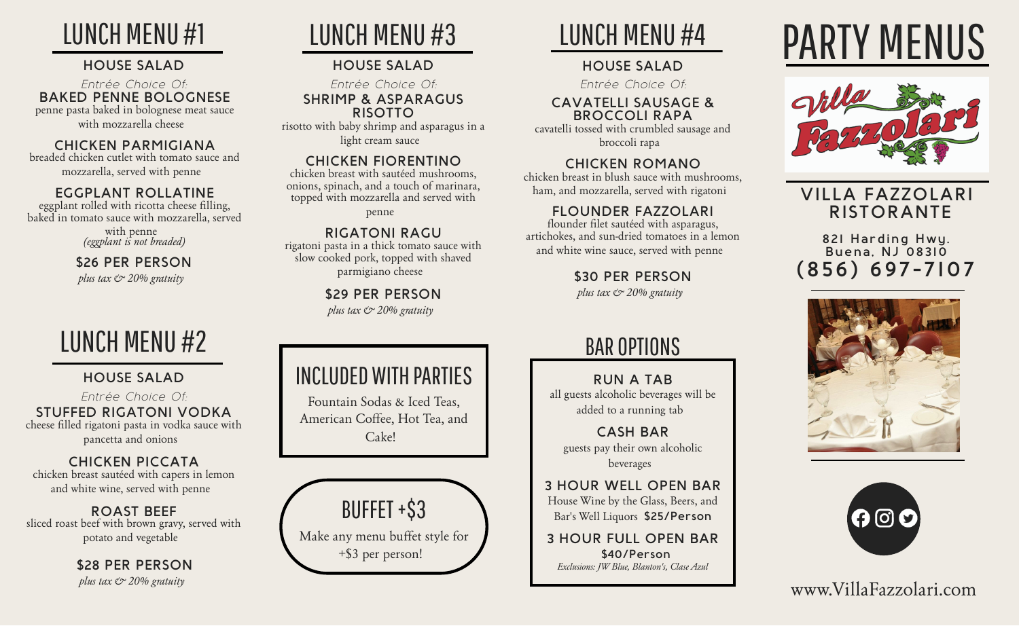# LUNCH MENU #1

## **HOUSE SALAD**

#### **BAKED PENNE BOLOGNESE** penne pasta baked in bolognese meat sauce with mozzarella cheese *Entrée Choice Of:*

## **CHICKEN PARMIGIANA**

breaded chicken cutlet with tomato sauce and mozzarella, served with penne

## **EGGPLANT ROLLATINE**

eggplant rolled with ricotta cheese filling, baked in tomato sauce with mozzarella, served

> with penne *(eggplant is not breaded)*

#### **\$26 PER PERSON** *plus tax & 20% gratuity*

# LUNCH MENU #2

# **HOUSE SALAD**

**STUFFED RIGATONI VODKA** cheese filled rigatoni pasta in vodka sauce with pancetta and onions *Entrée Choice Of:*

# **CHICKEN PICCATA**

chicken breast sautéed with capers in lemon and white wine, served with penne

**ROAST BEEF** sliced roast beef with brown gravy, served with potato and vegetable

> **\$28 PER PERSON** *plus tax & 20% gratuity*

# LUNCH MENU #3

# **HOUSE SALAD**

*Entrée Choice Of:* **SHRIMP & ASPARAGUS RISOTTO**

risotto with baby shrimp and asparagus in a light cream sauce

# **CHICKEN FIORENTINO**

chicken breast with sautéed mushrooms, onions, spinach, and a touch of marinara, topped with mozzarella and served with penne

**RIGATONI RAGU** rigatoni pasta in a thick tomato sauce with slow cooked pork, topped with shaved parmigiano cheese

> **\$29 PER PERSON** *plus tax & 20% gratuity*

# LUNCH MENU #4

# **HOUSE SALAD**

*Entrée Choice Of:*

#### **CAVATELLI SAUSAGE & BROCCOLI RAPA**

cavatelli tossed with crumbled sausage and broccoli rapa

# **CHICKEN ROMANO**

chicken breast in blush sauce with mushrooms, ham, and mozzarella, served with rigatoni

# **FLOUNDER FAZZOLARI**

flounder filet sautéed with asparagus, artichokes, and sun-dried tomatoes in a lemon and white wine sauce, served with penne

# **\$30 PER PERSON**

*plus tax & 20% gratuity*

# BAR OPTIONS

**RUN A TAB** all guests alcoholic beverages will be added to a running tab

**CASH BAR** guests pay their own alcoholic beverages

**3 HOUR WELL OPEN BAR** House Wine by the Glass, Beers, and Bar's Well Liquors **\$25/Person**

**3 HOUR FULL OPEN BAR \$40/Person** *Exclusions: JW Blue, Blanton's, Clase Azul*

# PARTY MENUS



# **VILLA FAZZOLARI RISTORANTE**

**821 Harding Hwy. Buena, NJ 08310 (856) 697-7107**





www.VillaFazzolari.com

# INCLUDED WITH PARTIES

Fountain Sodas & Iced Teas, American Coffee, Hot Tea, and Cake!